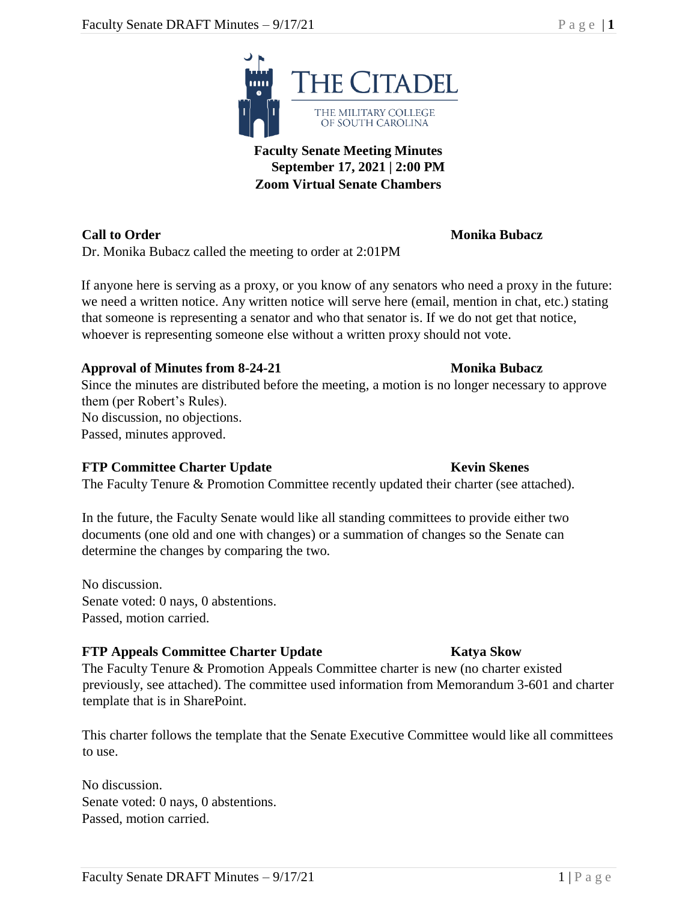

**Call to Order Monika Bubacz** Dr. Monika Bubacz called the meeting to order at 2:01PM

If anyone here is serving as a proxy, or you know of any senators who need a proxy in the future: we need a written notice. Any written notice will serve here (email, mention in chat, etc.) stating that someone is representing a senator and who that senator is. If we do not get that notice, whoever is representing someone else without a written proxy should not vote.

### **Approval of Minutes from 8-24-21 Monika Bubacz**

Since the minutes are distributed before the meeting, a motion is no longer necessary to approve them (per Robert's Rules). No discussion, no objections. Passed, minutes approved.

### **FTP Committee Charter Update Kevin Skenes**

The Faculty Tenure & Promotion Committee recently updated their charter (see attached).

In the future, the Faculty Senate would like all standing committees to provide either two documents (one old and one with changes) or a summation of changes so the Senate can determine the changes by comparing the two.

No discussion. Senate voted: 0 nays, 0 abstentions. Passed, motion carried.

### **FTP Appeals Committee Charter Update Katya Skow**

The Faculty Tenure & Promotion Appeals Committee charter is new (no charter existed previously, see attached). The committee used information from Memorandum 3-601 and charter template that is in SharePoint.

This charter follows the template that the Senate Executive Committee would like all committees to use.

No discussion. Senate voted: 0 nays, 0 abstentions. Passed, motion carried.



**September 17, 2021 | 2:00 PM Zoom Virtual Senate Chambers**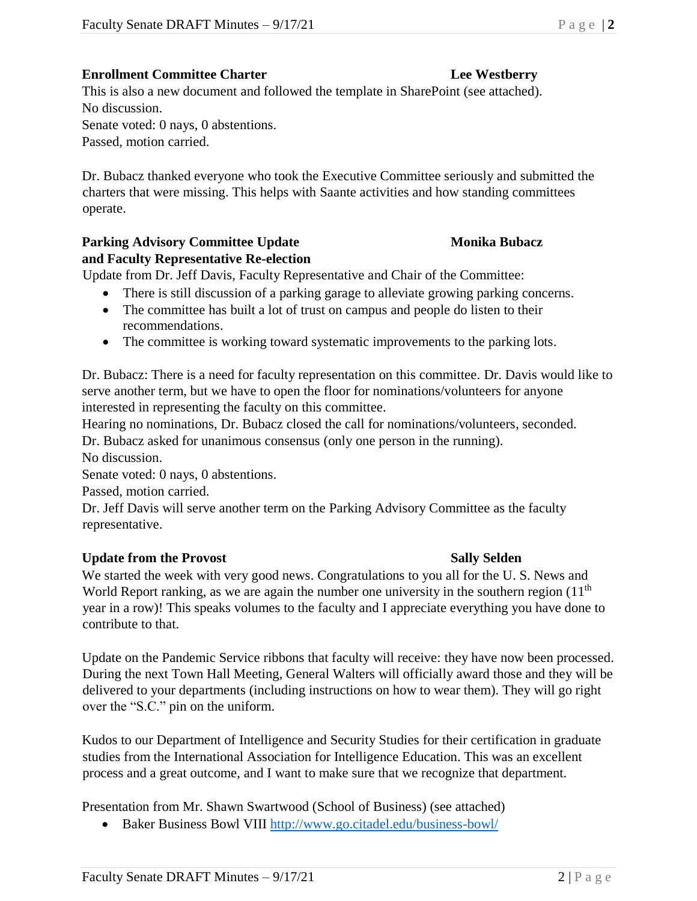## **Enrollment Committee Charter Lee Westberry**

This is also a new document and followed the template in SharePoint (see attached). No discussion.

Senate voted: 0 nays, 0 abstentions.

Passed, motion carried.

Dr. Bubacz thanked everyone who took the Executive Committee seriously and submitted the charters that were missing. This helps with Saante activities and how standing committees operate.

# **Parking Advisory Committee Update Monika Bubacz**

# **and Faculty Representative Re-election**

Update from Dr. Jeff Davis, Faculty Representative and Chair of the Committee:

- There is still discussion of a parking garage to alleviate growing parking concerns.
- The committee has built a lot of trust on campus and people do listen to their recommendations.
- The committee is working toward systematic improvements to the parking lots.

Dr. Bubacz: There is a need for faculty representation on this committee. Dr. Davis would like to serve another term, but we have to open the floor for nominations/volunteers for anyone interested in representing the faculty on this committee.

Hearing no nominations, Dr. Bubacz closed the call for nominations/volunteers, seconded.

Dr. Bubacz asked for unanimous consensus (only one person in the running).

No discussion.

Senate voted: 0 nays, 0 abstentions.

Passed, motion carried.

Dr. Jeff Davis will serve another term on the Parking Advisory Committee as the faculty representative.

### **Update from the Provost Sally Selden**

We started the week with very good news. Congratulations to you all for the U. S. News and World Report ranking, as we are again the number one university in the southern region  $(11<sup>th</sup>)$ year in a row)! This speaks volumes to the faculty and I appreciate everything you have done to contribute to that.

Update on the Pandemic Service ribbons that faculty will receive: they have now been processed. During the next Town Hall Meeting, General Walters will officially award those and they will be delivered to your departments (including instructions on how to wear them). They will go right over the "S.C." pin on the uniform.

Kudos to our Department of Intelligence and Security Studies for their certification in graduate studies from the International Association for Intelligence Education. This was an excellent process and a great outcome, and I want to make sure that we recognize that department.

Presentation from Mr. Shawn Swartwood (School of Business) (see attached)

• Baker Business Bowl VIII <http://www.go.citadel.edu/business-bowl/>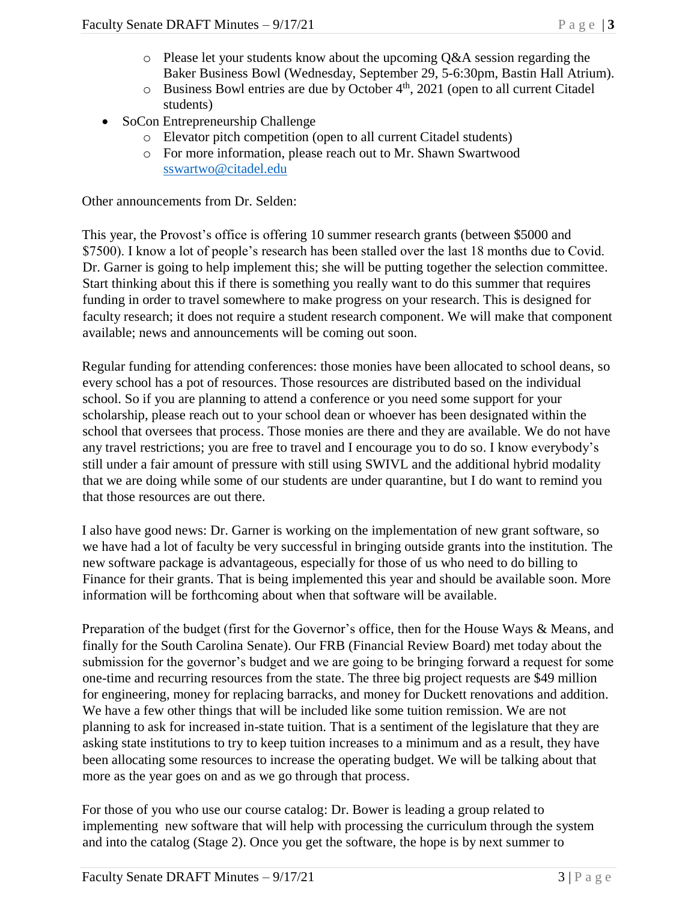- $\circ$  Please let your students know about the upcoming Q&A session regarding the Baker Business Bowl (Wednesday, September 29, 5-6:30pm, Bastin Hall Atrium).
- o Business Bowl entries are due by October 4<sup>th</sup>, 2021 (open to all current Citadel students)
- SoCon Entrepreneurship Challenge
	- o Elevator pitch competition (open to all current Citadel students)
	- o For more information, please reach out to Mr. Shawn Swartwood [sswartwo@citadel.edu](mailto:sswartwo@citadel.edu)

Other announcements from Dr. Selden:

This year, the Provost's office is offering 10 summer research grants (between \$5000 and \$7500). I know a lot of people's research has been stalled over the last 18 months due to Covid. Dr. Garner is going to help implement this; she will be putting together the selection committee. Start thinking about this if there is something you really want to do this summer that requires funding in order to travel somewhere to make progress on your research. This is designed for faculty research; it does not require a student research component. We will make that component available; news and announcements will be coming out soon.

Regular funding for attending conferences: those monies have been allocated to school deans, so every school has a pot of resources. Those resources are distributed based on the individual school. So if you are planning to attend a conference or you need some support for your scholarship, please reach out to your school dean or whoever has been designated within the school that oversees that process. Those monies are there and they are available. We do not have any travel restrictions; you are free to travel and I encourage you to do so. I know everybody's still under a fair amount of pressure with still using SWIVL and the additional hybrid modality that we are doing while some of our students are under quarantine, but I do want to remind you that those resources are out there.

I also have good news: Dr. Garner is working on the implementation of new grant software, so we have had a lot of faculty be very successful in bringing outside grants into the institution. The new software package is advantageous, especially for those of us who need to do billing to Finance for their grants. That is being implemented this year and should be available soon. More information will be forthcoming about when that software will be available.

Preparation of the budget (first for the Governor's office, then for the House Ways & Means, and finally for the South Carolina Senate). Our FRB (Financial Review Board) met today about the submission for the governor's budget and we are going to be bringing forward a request for some one-time and recurring resources from the state. The three big project requests are \$49 million for engineering, money for replacing barracks, and money for Duckett renovations and addition. We have a few other things that will be included like some tuition remission. We are not planning to ask for increased in-state tuition. That is a sentiment of the legislature that they are asking state institutions to try to keep tuition increases to a minimum and as a result, they have been allocating some resources to increase the operating budget. We will be talking about that more as the year goes on and as we go through that process.

For those of you who use our course catalog: Dr. Bower is leading a group related to implementing new software that will help with processing the curriculum through the system and into the catalog (Stage 2). Once you get the software, the hope is by next summer to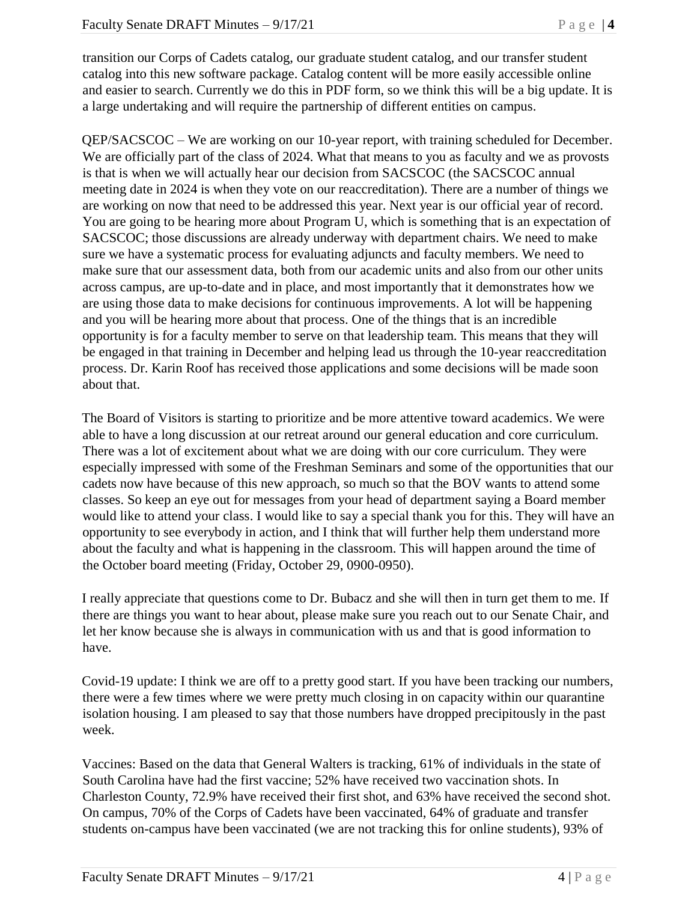transition our Corps of Cadets catalog, our graduate student catalog, and our transfer student catalog into this new software package. Catalog content will be more easily accessible online and easier to search. Currently we do this in PDF form, so we think this will be a big update. It is a large undertaking and will require the partnership of different entities on campus.

QEP/SACSCOC – We are working on our 10-year report, with training scheduled for December. We are officially part of the class of 2024. What that means to you as faculty and we as provosts is that is when we will actually hear our decision from SACSCOC (the SACSCOC annual meeting date in 2024 is when they vote on our reaccreditation). There are a number of things we are working on now that need to be addressed this year. Next year is our official year of record. You are going to be hearing more about Program U, which is something that is an expectation of SACSCOC; those discussions are already underway with department chairs. We need to make sure we have a systematic process for evaluating adjuncts and faculty members. We need to make sure that our assessment data, both from our academic units and also from our other units across campus, are up-to-date and in place, and most importantly that it demonstrates how we are using those data to make decisions for continuous improvements. A lot will be happening and you will be hearing more about that process. One of the things that is an incredible opportunity is for a faculty member to serve on that leadership team. This means that they will be engaged in that training in December and helping lead us through the 10-year reaccreditation process. Dr. Karin Roof has received those applications and some decisions will be made soon about that.

The Board of Visitors is starting to prioritize and be more attentive toward academics. We were able to have a long discussion at our retreat around our general education and core curriculum. There was a lot of excitement about what we are doing with our core curriculum. They were especially impressed with some of the Freshman Seminars and some of the opportunities that our cadets now have because of this new approach, so much so that the BOV wants to attend some classes. So keep an eye out for messages from your head of department saying a Board member would like to attend your class. I would like to say a special thank you for this. They will have an opportunity to see everybody in action, and I think that will further help them understand more about the faculty and what is happening in the classroom. This will happen around the time of the October board meeting (Friday, October 29, 0900-0950).

I really appreciate that questions come to Dr. Bubacz and she will then in turn get them to me. If there are things you want to hear about, please make sure you reach out to our Senate Chair, and let her know because she is always in communication with us and that is good information to have.

Covid-19 update: I think we are off to a pretty good start. If you have been tracking our numbers, there were a few times where we were pretty much closing in on capacity within our quarantine isolation housing. I am pleased to say that those numbers have dropped precipitously in the past week.

Vaccines: Based on the data that General Walters is tracking, 61% of individuals in the state of South Carolina have had the first vaccine; 52% have received two vaccination shots. In Charleston County, 72.9% have received their first shot, and 63% have received the second shot. On campus, 70% of the Corps of Cadets have been vaccinated, 64% of graduate and transfer students on-campus have been vaccinated (we are not tracking this for online students), 93% of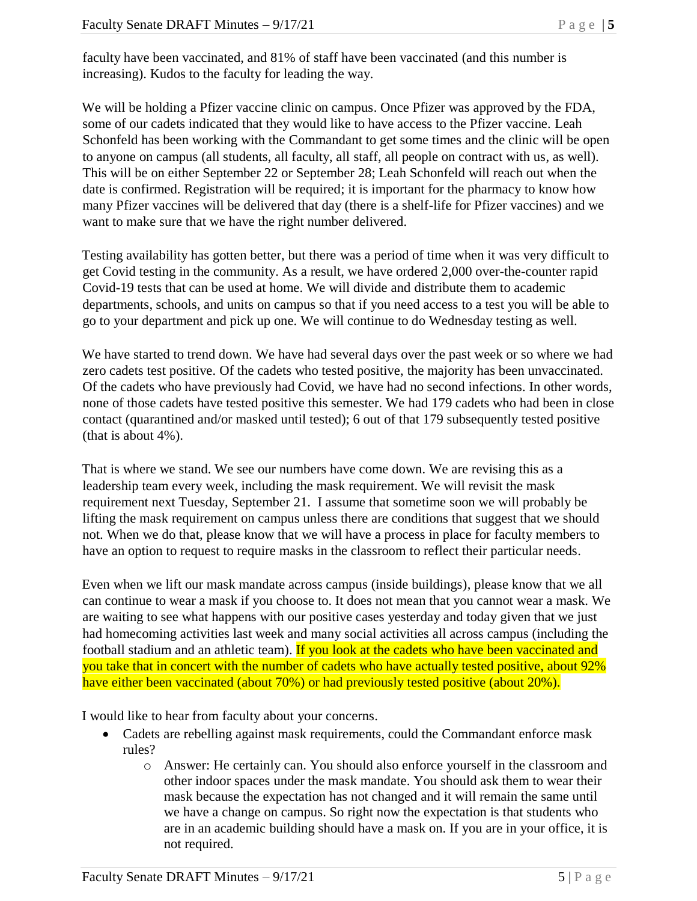faculty have been vaccinated, and 81% of staff have been vaccinated (and this number is increasing). Kudos to the faculty for leading the way.

We will be holding a Pfizer vaccine clinic on campus. Once Pfizer was approved by the FDA, some of our cadets indicated that they would like to have access to the Pfizer vaccine. Leah Schonfeld has been working with the Commandant to get some times and the clinic will be open to anyone on campus (all students, all faculty, all staff, all people on contract with us, as well). This will be on either September 22 or September 28; Leah Schonfeld will reach out when the date is confirmed. Registration will be required; it is important for the pharmacy to know how many Pfizer vaccines will be delivered that day (there is a shelf-life for Pfizer vaccines) and we want to make sure that we have the right number delivered.

Testing availability has gotten better, but there was a period of time when it was very difficult to get Covid testing in the community. As a result, we have ordered 2,000 over-the-counter rapid Covid-19 tests that can be used at home. We will divide and distribute them to academic departments, schools, and units on campus so that if you need access to a test you will be able to go to your department and pick up one. We will continue to do Wednesday testing as well.

We have started to trend down. We have had several days over the past week or so where we had zero cadets test positive. Of the cadets who tested positive, the majority has been unvaccinated. Of the cadets who have previously had Covid, we have had no second infections. In other words, none of those cadets have tested positive this semester. We had 179 cadets who had been in close contact (quarantined and/or masked until tested); 6 out of that 179 subsequently tested positive (that is about 4%).

That is where we stand. We see our numbers have come down. We are revising this as a leadership team every week, including the mask requirement. We will revisit the mask requirement next Tuesday, September 21. I assume that sometime soon we will probably be lifting the mask requirement on campus unless there are conditions that suggest that we should not. When we do that, please know that we will have a process in place for faculty members to have an option to request to require masks in the classroom to reflect their particular needs.

Even when we lift our mask mandate across campus (inside buildings), please know that we all can continue to wear a mask if you choose to. It does not mean that you cannot wear a mask. We are waiting to see what happens with our positive cases yesterday and today given that we just had homecoming activities last week and many social activities all across campus (including the football stadium and an athletic team). If you look at the cadets who have been vaccinated and you take that in concert with the number of cadets who have actually tested positive, about 92% have either been vaccinated (about 70%) or had previously tested positive (about 20%).

I would like to hear from faculty about your concerns.

- Cadets are rebelling against mask requirements, could the Commandant enforce mask rules?
	- o Answer: He certainly can. You should also enforce yourself in the classroom and other indoor spaces under the mask mandate. You should ask them to wear their mask because the expectation has not changed and it will remain the same until we have a change on campus. So right now the expectation is that students who are in an academic building should have a mask on. If you are in your office, it is not required.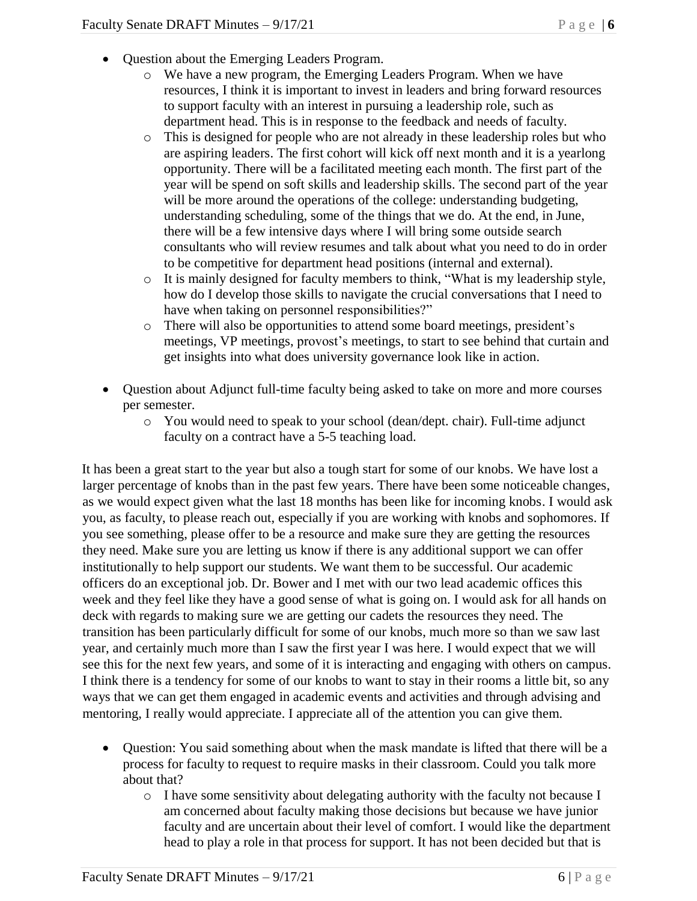- Question about the Emerging Leaders Program.
	- o We have a new program, the Emerging Leaders Program. When we have resources, I think it is important to invest in leaders and bring forward resources to support faculty with an interest in pursuing a leadership role, such as department head. This is in response to the feedback and needs of faculty.
	- o This is designed for people who are not already in these leadership roles but who are aspiring leaders. The first cohort will kick off next month and it is a yearlong opportunity. There will be a facilitated meeting each month. The first part of the year will be spend on soft skills and leadership skills. The second part of the year will be more around the operations of the college: understanding budgeting, understanding scheduling, some of the things that we do. At the end, in June, there will be a few intensive days where I will bring some outside search consultants who will review resumes and talk about what you need to do in order to be competitive for department head positions (internal and external).
	- o It is mainly designed for faculty members to think, "What is my leadership style, how do I develop those skills to navigate the crucial conversations that I need to have when taking on personnel responsibilities?"
	- o There will also be opportunities to attend some board meetings, president's meetings, VP meetings, provost's meetings, to start to see behind that curtain and get insights into what does university governance look like in action.
- Question about Adjunct full-time faculty being asked to take on more and more courses per semester.
	- o You would need to speak to your school (dean/dept. chair). Full-time adjunct faculty on a contract have a 5-5 teaching load.

It has been a great start to the year but also a tough start for some of our knobs. We have lost a larger percentage of knobs than in the past few years. There have been some noticeable changes, as we would expect given what the last 18 months has been like for incoming knobs. I would ask you, as faculty, to please reach out, especially if you are working with knobs and sophomores. If you see something, please offer to be a resource and make sure they are getting the resources they need. Make sure you are letting us know if there is any additional support we can offer institutionally to help support our students. We want them to be successful. Our academic officers do an exceptional job. Dr. Bower and I met with our two lead academic offices this week and they feel like they have a good sense of what is going on. I would ask for all hands on deck with regards to making sure we are getting our cadets the resources they need. The transition has been particularly difficult for some of our knobs, much more so than we saw last year, and certainly much more than I saw the first year I was here. I would expect that we will see this for the next few years, and some of it is interacting and engaging with others on campus. I think there is a tendency for some of our knobs to want to stay in their rooms a little bit, so any ways that we can get them engaged in academic events and activities and through advising and mentoring, I really would appreciate. I appreciate all of the attention you can give them.

- Question: You said something about when the mask mandate is lifted that there will be a process for faculty to request to require masks in their classroom. Could you talk more about that?
	- $\circ$  I have some sensitivity about delegating authority with the faculty not because I am concerned about faculty making those decisions but because we have junior faculty and are uncertain about their level of comfort. I would like the department head to play a role in that process for support. It has not been decided but that is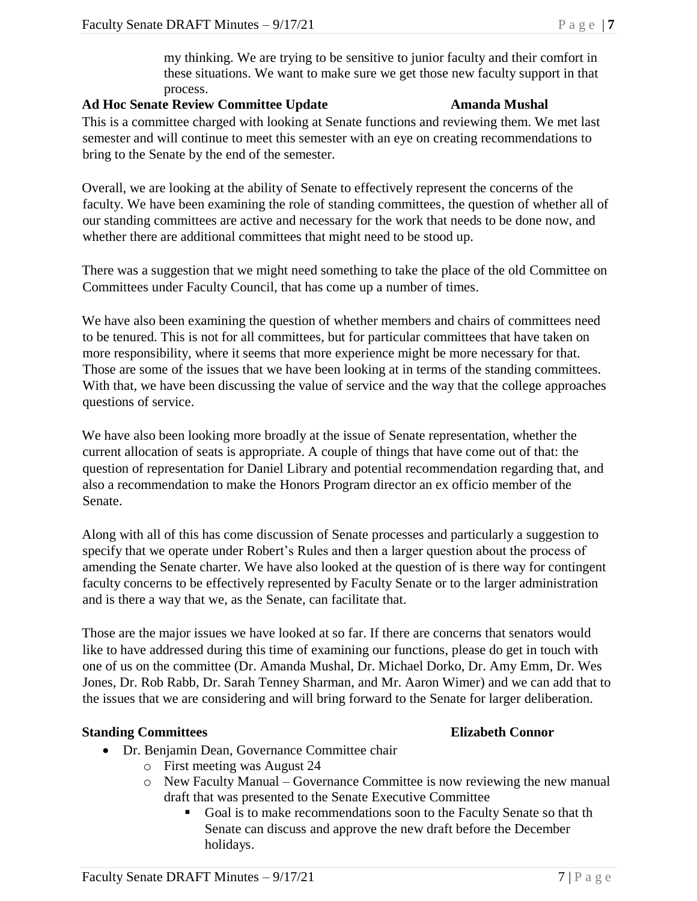my thinking. We are trying to be sensitive to junior faculty and their comfort in these situations. We want to make sure we get those new faculty support in that process.

### **Ad Hoc Senate Review Committee Update Amanda Mushal**

This is a committee charged with looking at Senate functions and reviewing them. We met last semester and will continue to meet this semester with an eye on creating recommendations to bring to the Senate by the end of the semester.

Overall, we are looking at the ability of Senate to effectively represent the concerns of the faculty. We have been examining the role of standing committees, the question of whether all of our standing committees are active and necessary for the work that needs to be done now, and whether there are additional committees that might need to be stood up.

There was a suggestion that we might need something to take the place of the old Committee on Committees under Faculty Council, that has come up a number of times.

We have also been examining the question of whether members and chairs of committees need to be tenured. This is not for all committees, but for particular committees that have taken on more responsibility, where it seems that more experience might be more necessary for that. Those are some of the issues that we have been looking at in terms of the standing committees. With that, we have been discussing the value of service and the way that the college approaches questions of service.

We have also been looking more broadly at the issue of Senate representation, whether the current allocation of seats is appropriate. A couple of things that have come out of that: the question of representation for Daniel Library and potential recommendation regarding that, and also a recommendation to make the Honors Program director an ex officio member of the Senate.

Along with all of this has come discussion of Senate processes and particularly a suggestion to specify that we operate under Robert's Rules and then a larger question about the process of amending the Senate charter. We have also looked at the question of is there way for contingent faculty concerns to be effectively represented by Faculty Senate or to the larger administration and is there a way that we, as the Senate, can facilitate that.

Those are the major issues we have looked at so far. If there are concerns that senators would like to have addressed during this time of examining our functions, please do get in touch with one of us on the committee (Dr. Amanda Mushal, Dr. Michael Dorko, Dr. Amy Emm, Dr. Wes Jones, Dr. Rob Rabb, Dr. Sarah Tenney Sharman, and Mr. Aaron Wimer) and we can add that to the issues that we are considering and will bring forward to the Senate for larger deliberation.

# **Standing Committees Elizabeth Connor**

- Dr. Benjamin Dean, Governance Committee chair
	- o First meeting was August 24
	- o New Faculty Manual Governance Committee is now reviewing the new manual draft that was presented to the Senate Executive Committee
		- Goal is to make recommendations soon to the Faculty Senate so that th Senate can discuss and approve the new draft before the December holidays.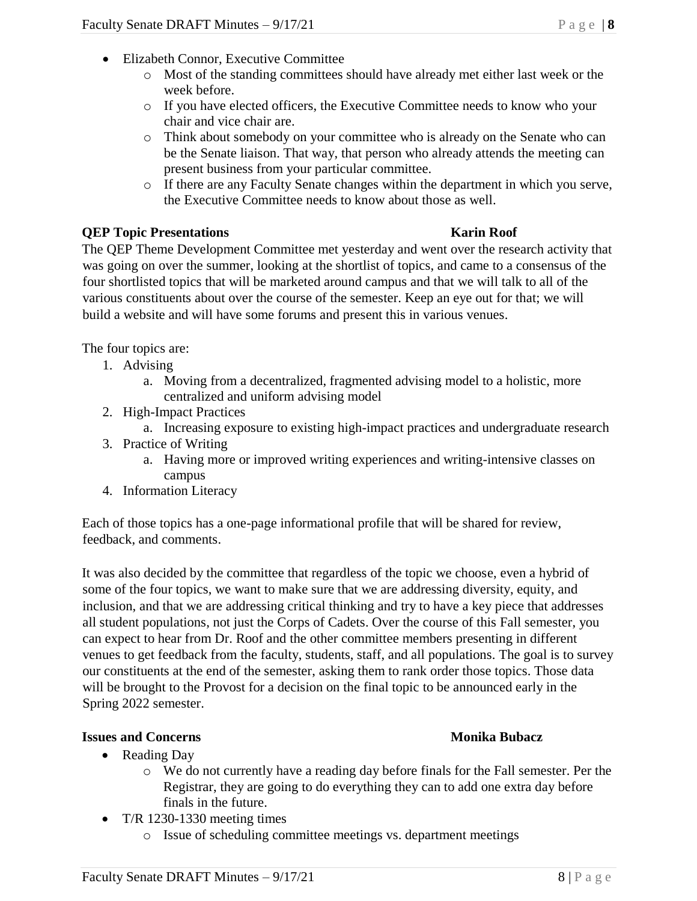- Elizabeth Connor, Executive Committee
	- o Most of the standing committees should have already met either last week or the week before.
	- o If you have elected officers, the Executive Committee needs to know who your chair and vice chair are.
	- o Think about somebody on your committee who is already on the Senate who can be the Senate liaison. That way, that person who already attends the meeting can present business from your particular committee.
	- o If there are any Faculty Senate changes within the department in which you serve, the Executive Committee needs to know about those as well.

### **QEP Topic Presentations Karin Roof**

The QEP Theme Development Committee met yesterday and went over the research activity that was going on over the summer, looking at the shortlist of topics, and came to a consensus of the four shortlisted topics that will be marketed around campus and that we will talk to all of the various constituents about over the course of the semester. Keep an eye out for that; we will build a website and will have some forums and present this in various venues.

The four topics are:

- 1. Advising
	- a. Moving from a decentralized, fragmented advising model to a holistic, more centralized and uniform advising model
- 2. High-Impact Practices
	- a. Increasing exposure to existing high-impact practices and undergraduate research
- 3. Practice of Writing
	- a. Having more or improved writing experiences and writing-intensive classes on campus
- 4. Information Literacy

Each of those topics has a one-page informational profile that will be shared for review, feedback, and comments.

It was also decided by the committee that regardless of the topic we choose, even a hybrid of some of the four topics, we want to make sure that we are addressing diversity, equity, and inclusion, and that we are addressing critical thinking and try to have a key piece that addresses all student populations, not just the Corps of Cadets. Over the course of this Fall semester, you can expect to hear from Dr. Roof and the other committee members presenting in different venues to get feedback from the faculty, students, staff, and all populations. The goal is to survey our constituents at the end of the semester, asking them to rank order those topics. Those data will be brought to the Provost for a decision on the final topic to be announced early in the Spring 2022 semester.

### **Issues and Concerns Monika Bubacz**

- Reading Day
	- o We do not currently have a reading day before finals for the Fall semester. Per the Registrar, they are going to do everything they can to add one extra day before finals in the future.
- T/R 1230-1330 meeting times
	- o Issue of scheduling committee meetings vs. department meetings